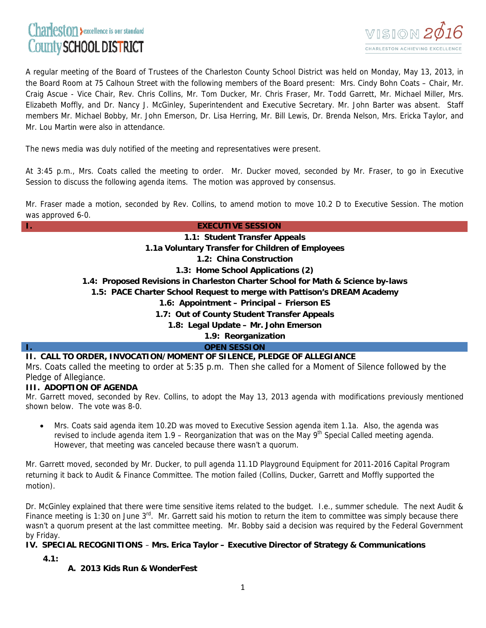# Charleston Sexcellence is our standard County SCHOOL DISTRICT



A regular meeting of the Board of Trustees of the Charleston County School District was held on Monday, May 13, 2013, in the Board Room at 75 Calhoun Street with the following members of the Board present: Mrs. Cindy Bohn Coats – Chair, Mr. Craig Ascue - Vice Chair, Rev. Chris Collins, Mr. Tom Ducker, Mr. Chris Fraser, Mr. Todd Garrett, Mr. Michael Miller, Mrs. Elizabeth Moffly, and Dr. Nancy J. McGinley, Superintendent and Executive Secretary. Mr. John Barter was absent. Staff members Mr. Michael Bobby, Mr. John Emerson, Dr. Lisa Herring, Mr. Bill Lewis, Dr. Brenda Nelson, Mrs. Ericka Taylor, and Mr. Lou Martin were also in attendance.

The news media was duly notified of the meeting and representatives were present.

At 3:45 p.m., Mrs. Coats called the meeting to order. Mr. Ducker moved, seconded by Mr. Fraser, to go in Executive Session to discuss the following agenda items. The motion was approved by consensus.

Mr. Fraser made a motion, seconded by Rev. Collins, to amend motion to move 10.2 D to Executive Session. The motion was approved 6-0.

## **I. EXECUTIVE SESSION**

**1.1: Student Transfer Appeals** 

**1.1a Voluntary Transfer for Children of Employees**

**1.2: China Construction** 

**1.3: Home School Applications (2)**

**1.4: Proposed Revisions in Charleston Charter School for Math & Science by-laws** 

**1.5: PACE Charter School Request to merge with Pattison's DREAM Academy**

**1.6: Appointment – Principal – Frierson ES** 

**1.7: Out of County Student Transfer Appeals**

**1.8: Legal Update – Mr. John Emerson** 

**1.9: Reorganization** 

*<u>OPEN SESSION</u>* 

## **II. CALL TO ORDER, INVOCATION/MOMENT OF SILENCE, PLEDGE OF ALLEGIANCE**

Mrs. Coats called the meeting to order at 5:35 p.m. Then she called for a Moment of Silence followed by the Pledge of Allegiance.

## **III. ADOPTION OF AGENDA**

Mr. Garrett moved, seconded by Rev. Collins, to adopt the May 13, 2013 agenda with modifications previously mentioned shown below. The vote was 8-0.

• Mrs. Coats said agenda item 10.2D was moved to Executive Session agenda item 1.1a. Also, the agenda was revised to include agenda item  $1.9$  – Reorganization that was on the May  $9<sup>th</sup>$  Special Called meeting agenda. However, that meeting was canceled because there wasn't a quorum.

Mr. Garrett moved, seconded by Mr. Ducker, to pull agenda 11.1D Playground Equipment for 2011-2016 Capital Program returning it back to Audit & Finance Committee. The motion failed (Collins, Ducker, Garrett and Moffly supported the motion).

Dr. McGinley explained that there were time sensitive items related to the budget. I.e., summer schedule. The next Audit & Finance meeting is 1:30 on June  $3^{rd}$ . Mr. Garrett said his motion to return the item to committee was simply because there wasn't a quorum present at the last committee meeting. Mr. Bobby said a decision was required by the Federal Government by Friday.

## **IV. SPECIAL RECOGNITIONS** – **Mrs. Erica Taylor – Executive Director of Strategy & Communications**

**4.1:**

# **A. 2013 Kids Run & WonderFest**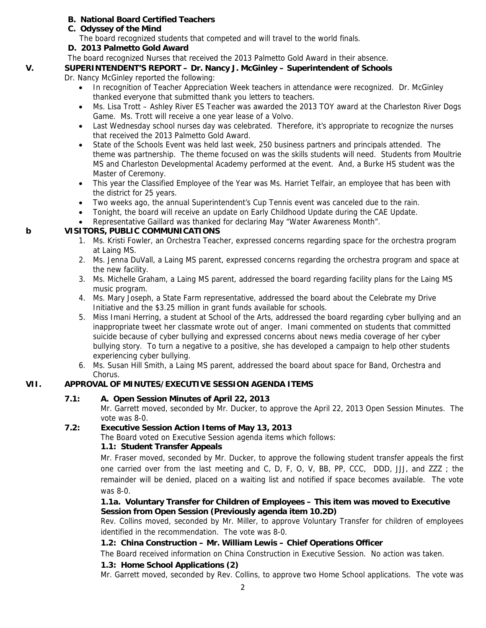# **B. National Board Certified Teachers**

- **C. Odyssey of the Mind** 
	- The board recognized students that competed and will travel to the world finals.
- **D. 2013 Palmetto Gold Award**

The board recognized Nurses that received the 2013 Palmetto Gold Award in their absence.

#### **V. SUPERINTENDENT'S REPORT – Dr. Nancy J. McGinley – Superintendent of Schools**

Dr. Nancy McGinley reported the following:

- In recognition of Teacher Appreciation Week teachers in attendance were recognized. Dr. McGinley thanked everyone that submitted thank you letters to teachers.
- Ms. Lisa Trott Ashley River ES Teacher was awarded the 2013 TOY award at the Charleston River Dogs Game. Ms. Trott will receive a one year lease of a Volvo.
- Last Wednesday school nurses day was celebrated. Therefore, it's appropriate to recognize the nurses that received the 2013 Palmetto Gold Award.
- State of the Schools Event was held last week, 250 business partners and principals attended. The theme was partnership. The theme focused on was the skills students will need. Students from Moultrie MS and Charleston Developmental Academy performed at the event. And, a Burke HS student was the Master of Ceremony.
- This year the Classified Employee of the Year was Ms. Harriet Telfair, an employee that has been with the district for 25 years.
- Two weeks ago, the annual Superintendent's Cup Tennis event was canceled due to the rain.
- Tonight, the board will receive an update on Early Childhood Update during the CAE Update.
- Representative Gaillard was thanked for declaring May "Water Awareness Month".

## **b VISITORS, PUBLIC COMMUNICATIONS**

- 1. Ms. Kristi Fowler, an Orchestra Teacher, expressed concerns regarding space for the orchestra program at Laing MS.
- 2. Ms. Jenna DuVall, a Laing MS parent, expressed concerns regarding the orchestra program and space at the new facility.
- 3. Ms. Michelle Graham, a Laing MS parent, addressed the board regarding facility plans for the Laing MS music program.
- 4. Ms. Mary Joseph, a State Farm representative, addressed the board about the Celebrate my Drive Initiative and the \$3.25 million in grant funds available for schools.
- 5. Miss Imani Herring, a student at School of the Arts, addressed the board regarding cyber bullying and an inappropriate tweet her classmate wrote out of anger. Imani commented on students that committed suicide because of cyber bullying and expressed concerns about news media coverage of her cyber bullying story. To turn a negative to a positive, she has developed a campaign to help other students experiencing cyber bullying.
- 6. Ms. Susan Hill Smith, a Laing MS parent, addressed the board about space for Band, Orchestra and Chorus.

# **VII. APPROVAL OF MINUTES/EXECUTIVE SESSION AGENDA ITEMS**

# **7.1: A. Open Session Minutes of April 22, 2013**

Mr. Garrett moved, seconded by Mr. Ducker, to approve the April 22, 2013 Open Session Minutes. The vote was 8-0.

## **7.2: Executive Session Action Items of May 13, 2013**

The Board voted on Executive Session agenda items which follows:

## **1.1: Student Transfer Appeals**

Mr. Fraser moved, seconded by Mr. Ducker, to approve the following student transfer appeals the first one carried over from the last meeting and C, D, F, O, V, BB, PP, CCC, DDD, JJJ, and ZZZ ; the remainder will be denied, placed on a waiting list and notified if space becomes available. The vote was 8-0.

## **1.1a. Voluntary Transfer for Children of Employees – This item was moved to Executive Session from Open Session (Previously agenda item 10.2D)**

Rev. Collins moved, seconded by Mr. Miller, to approve Voluntary Transfer for children of employees identified in the recommendation. The vote was 8-0.

# **1.2: China Construction – Mr. William Lewis – Chief Operations Officer**

The Board received information on China Construction in Executive Session. No action was taken.

## **1.3: Home School Applications (2)**

Mr. Garrett moved, seconded by Rev. Collins, to approve two Home School applications. The vote was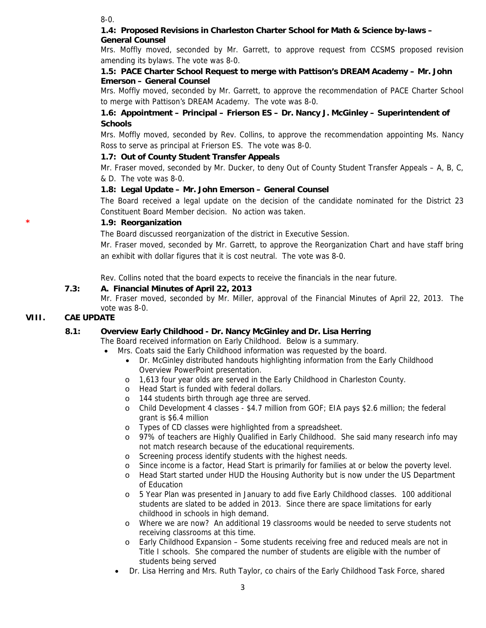8-0.

#### **1.4: Proposed Revisions in Charleston Charter School for Math & Science by-laws – General Counsel**

Mrs. Moffly moved, seconded by Mr. Garrett, to approve request from CCSMS proposed revision amending its bylaws. The vote was 8-0.

## **1.5: PACE Charter School Request to merge with Pattison's DREAM Academy – Mr. John Emerson – General Counsel**

Mrs. Moffly moved, seconded by Mr. Garrett, to approve the recommendation of PACE Charter School to merge with Pattison's DREAM Academy. The vote was 8-0.

# **1.6: Appointment – Principal – Frierson ES – Dr. Nancy J. McGinley – Superintendent of Schools**

Mrs. Moffly moved, seconded by Rev. Collins, to approve the recommendation appointing Ms. Nancy Ross to serve as principal at Frierson ES. The vote was 8-0.

## **1.7: Out of County Student Transfer Appeals**

Mr. Fraser moved, seconded by Mr. Ducker, to deny Out of County Student Transfer Appeals – A, B, C, & D. The vote was 8-0.

## **1.8: Legal Update – Mr. John Emerson – General Counsel**

The Board received a legal update on the decision of the candidate nominated for the District 23 Constituent Board Member decision. No action was taken.

## **\* 1.9: Reorganization**

The Board discussed reorganization of the district in Executive Session.

Mr. Fraser moved, seconded by Mr. Garrett, to approve the Reorganization Chart and have staff bring an exhibit with dollar figures that it is cost neutral. The vote was 8-0.

Rev. Collins noted that the board expects to receive the financials in the near future.

## **7.3: A. Financial Minutes of April 22, 2013**

Mr. Fraser moved, seconded by Mr. Miller, approval of the Financial Minutes of April 22, 2013. The vote was 8-0.

## **VIII. CAE UPDATE**

# **8.1: Overview Early Childhood - Dr. Nancy McGinley and Dr. Lisa Herring**

The Board received information on Early Childhood. Below is a summary.

- Mrs. Coats said the Early Childhood information was requested by the board.
	- Dr. McGinley distributed handouts highlighting information from the Early Childhood Overview PowerPoint presentation.
	- o 1,613 four year olds are served in the Early Childhood in Charleston County.
	- o Head Start is funded with federal dollars.
	- o 144 students birth through age three are served.
	- o Child Development 4 classes \$4.7 million from GOF; EIA pays \$2.6 million; the federal grant is \$6.4 million
	- o Types of CD classes were highlighted from a spreadsheet.
	- o 97% of teachers are Highly Qualified in Early Childhood. She said many research info may not match research because of the educational requirements.
	- o Screening process identify students with the highest needs.
	- o Since income is a factor, Head Start is primarily for families at or below the poverty level.
	- o Head Start started under HUD the Housing Authority but is now under the US Department of Education
	- o 5 Year Plan was presented in January to add five Early Childhood classes. 100 additional students are slated to be added in 2013. Since there are space limitations for early childhood in schools in high demand.
	- o Where we are now? An additional 19 classrooms would be needed to serve students not receiving classrooms at this time.
	- o Early Childhood Expansion Some students receiving free and reduced meals are not in Title I schools. She compared the number of students are eligible with the number of students being served
	- Dr. Lisa Herring and Mrs. Ruth Taylor, co chairs of the Early Childhood Task Force, shared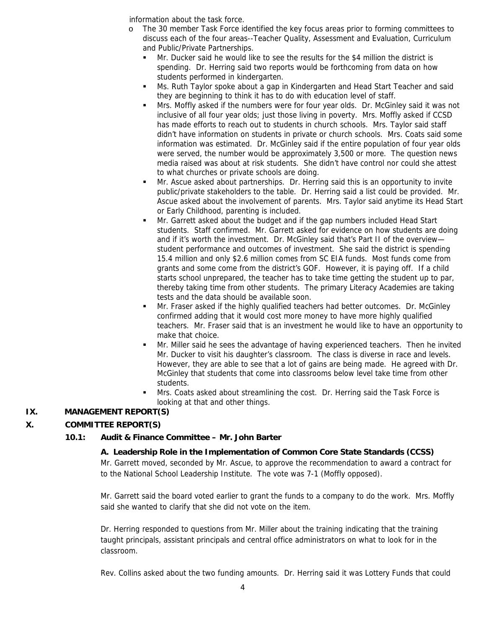information about the task force.

- o The 30 member Task Force identified the key focus areas prior to forming committees to discuss each of the four areas--Teacher Quality, Assessment and Evaluation, Curriculum and Public/Private Partnerships.
	- Mr. Ducker said he would like to see the results for the \$4 million the district is spending. Dr. Herring said two reports would be forthcoming from data on how students performed in kindergarten.
	- Ms. Ruth Taylor spoke about a gap in Kindergarten and Head Start Teacher and said they are beginning to think it has to do with education level of staff.
	- Mrs. Moffly asked if the numbers were for four year olds. Dr. McGinley said it was not inclusive of all four year olds; just those living in poverty. Mrs. Moffly asked if CCSD has made efforts to reach out to students in church schools. Mrs. Taylor said staff didn't have information on students in private or church schools. Mrs. Coats said some information was estimated. Dr. McGinley said if the entire population of four year olds were served, the number would be approximately 3,500 or more. The question news media raised was about at risk students. She didn't have control nor could she attest to what churches or private schools are doing.
	- Mr. Ascue asked about partnerships. Dr. Herring said this is an opportunity to invite public/private stakeholders to the table. Dr. Herring said a list could be provided. Mr. Ascue asked about the involvement of parents. Mrs. Taylor said anytime its Head Start or Early Childhood, parenting is included.
	- Mr. Garrett asked about the budget and if the gap numbers included Head Start students. Staff confirmed. Mr. Garrett asked for evidence on how students are doing and if it's worth the investment. Dr. McGinley said that's Part II of the overview student performance and outcomes of investment. She said the district is spending 15.4 million and only \$2.6 million comes from SC EIA funds. Most funds come from grants and some come from the district's GOF. However, it is paying off. If a child starts school unprepared, the teacher has to take time getting the student up to par, thereby taking time from other students. The primary Literacy Academies are taking tests and the data should be available soon.
	- Mr. Fraser asked if the highly qualified teachers had better outcomes. Dr. McGinley confirmed adding that it would cost more money to have more highly qualified teachers. Mr. Fraser said that is an investment he would like to have an opportunity to make that choice.
	- Mr. Miller said he sees the advantage of having experienced teachers. Then he invited Mr. Ducker to visit his daughter's classroom. The class is diverse in race and levels. However, they are able to see that a lot of gains are being made. He agreed with Dr. McGinley that students that come into classrooms below level take time from other students.
	- Mrs. Coats asked about streamlining the cost. Dr. Herring said the Task Force is looking at that and other things.

# **IX. MANAGEMENT REPORT(S)**

# **X. COMMITTEE REPORT(S)**

## **10.1: Audit & Finance Committee – Mr. John Barter**

## **A. Leadership Role in the Implementation of Common Core State Standards (CCSS)**

Mr. Garrett moved, seconded by Mr. Ascue, to approve the recommendation to award a contract for to the National School Leadership Institute. The vote was 7-1 (Moffly opposed).

Mr. Garrett said the board voted earlier to grant the funds to a company to do the work. Mrs. Moffly said she wanted to clarify that she did not vote on the item.

Dr. Herring responded to questions from Mr. Miller about the training indicating that the training taught principals, assistant principals and central office administrators on what to look for in the classroom.

Rev. Collins asked about the two funding amounts. Dr. Herring said it was Lottery Funds that could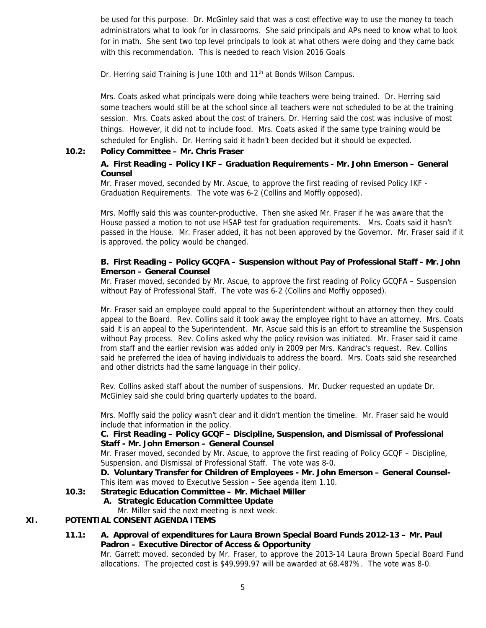be used for this purpose. Dr. McGinley said that was a cost effective way to use the money to teach administrators what to look for in classrooms. She said principals and APs need to know what to look for in math. She sent two top level principals to look at what others were doing and they came back with this recommendation. This is needed to reach Vision 2016 Goals

Dr. Herring said Training is June 10th and 11<sup>th</sup> at Bonds Wilson Campus.

Mrs. Coats asked what principals were doing while teachers were being trained. Dr. Herring said some teachers would still be at the school since all teachers were not scheduled to be at the training session. Mrs. Coats asked about the cost of trainers. Dr. Herring said the cost was inclusive of most things. However, it did not to include food. Mrs. Coats asked if the same type training would be scheduled for English. Dr. Herring said it hadn't been decided but it should be expected.

#### **10.2: Policy Committee – Mr. Chris Fraser**

## **A. First Reading – Policy IKF – Graduation Requirements - Mr. John Emerson – General Counsel**

Mr. Fraser moved, seconded by Mr. Ascue, to approve the first reading of revised Policy IKF - Graduation Requirements. The vote was 6-2 (Collins and Moffly opposed).

Mrs. Moffly said this was counter-productive. Then she asked Mr. Fraser if he was aware that the House passed a motion to not use HSAP test for graduation requirements. Mrs. Coats said it hasn't passed in the House. Mr. Fraser added, it has not been approved by the Governor. Mr. Fraser said if it is approved, the policy would be changed.

#### **B. First Reading – Policy GCQFA – Suspension without Pay of Professional Staff - Mr. John Emerson – General Counsel**

Mr. Fraser moved, seconded by Mr. Ascue, to approve the first reading of Policy GCQFA – Suspension without Pay of Professional Staff. The vote was 6-2 (Collins and Moffly opposed).

Mr. Fraser said an employee could appeal to the Superintendent without an attorney then they could appeal to the Board. Rev. Collins said it took away the employee right to have an attorney. Mrs. Coats said it is an appeal to the Superintendent. Mr. Ascue said this is an effort to streamline the Suspension without Pay process. Rev. Collins asked why the policy revision was initiated. Mr. Fraser said it came from staff and the earlier revision was added only in 2009 per Mrs. Kandrac's request. Rev. Collins said he preferred the idea of having individuals to address the board. Mrs. Coats said she researched and other districts had the same language in their policy.

Rev. Collins asked staff about the number of suspensions. Mr. Ducker requested an update Dr. McGinley said she could bring quarterly updates to the board.

Mrs. Moffly said the policy wasn't clear and it didn't mention the timeline. Mr. Fraser said he would include that information in the policy.

#### **C. First Reading – Policy GCQF – Discipline, Suspension, and Dismissal of Professional Staff - Mr. John Emerson – General Counsel**

Mr. Fraser moved, seconded by Mr. Ascue, to approve the first reading of Policy GCQF – Discipline, Suspension, and Dismissal of Professional Staff. The vote was 8-0.

 **D. Voluntary Transfer for Children of Employees - Mr. John Emerson – General Counsel-**This item was moved to Executive Session – See agenda item 1.10.

## **10.3: Strategic Education Committee – Mr. Michael Miller**

#### **A. Strategic Education Committee Update**

Mr. Miller said the next meeting is next week.

#### **XI. POTENTIAL CONSENT AGENDA ITEMS**

#### **11.1: A. Approval of expenditures for Laura Brown Special Board Funds 2012-13 – Mr. Paul Padron – Executive Director of Access & Opportunity**

Mr. Garrett moved, seconded by Mr. Fraser, to approve the 2013-14 Laura Brown Special Board Fund allocations. The projected cost is \$49,999.97 will be awarded at 68.487%. The vote was 8-0.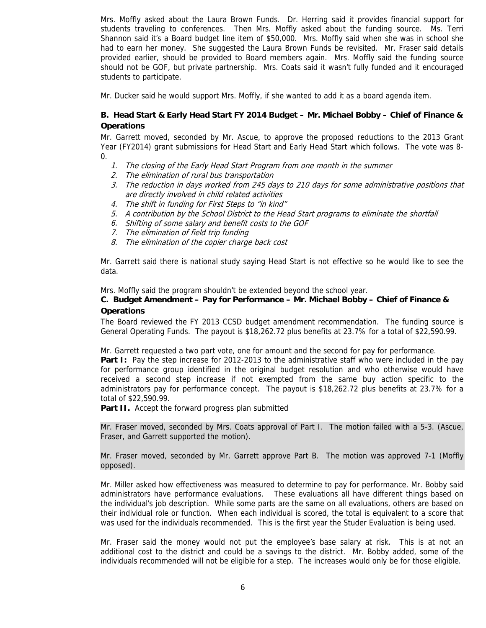Mrs. Moffly asked about the Laura Brown Funds. Dr. Herring said it provides financial support for students traveling to conferences. Then Mrs. Moffly asked about the funding source. Ms. Terri Shannon said it's a Board budget line item of \$50,000. Mrs. Moffly said when she was in school she had to earn her money. She suggested the Laura Brown Funds be revisited. Mr. Fraser said details provided earlier, should be provided to Board members again. Mrs. Moffly said the funding source should not be GOF, but private partnership. Mrs. Coats said it wasn't fully funded and it encouraged students to participate.

Mr. Ducker said he would support Mrs. Moffly, if she wanted to add it as a board agenda item.

## **B. Head Start & Early Head Start FY 2014 Budget – Mr. Michael Bobby – Chief of Finance & Operations**

Mr. Garrett moved, seconded by Mr. Ascue, to approve the proposed reductions to the 2013 Grant Year (FY2014) grant submissions for Head Start and Early Head Start which follows. The vote was 8- 0.

- 1. The closing of the Early Head Start Program from one month in the summer
- 2. The elimination of rural bus transportation
- 3. The reduction in days worked from 245 days to 210 days for some administrative positions that are directly involved in child related activities
- 4. The shift in funding for First Steps to "in kind"
- 5. A contribution by the School District to the Head Start programs to eliminate the shortfall
- 6. Shifting of some salary and benefit costs to the GOF
- 7. The elimination of field trip funding
- 8. The elimination of the copier charge back cost

Mr. Garrett said there is national study saying Head Start is not effective so he would like to see the data.

Mrs. Moffly said the program shouldn't be extended beyond the school year.

#### **C. Budget Amendment – Pay for Performance – Mr. Michael Bobby – Chief of Finance & Operations**

The Board reviewed the FY 2013 CCSD budget amendment recommendation. The funding source is General Operating Funds. The payout is \$18,262.72 plus benefits at 23.7% for a total of \$22,590.99.

Mr. Garrett requested a two part vote, one for amount and the second for pay for performance.

**Part I:** Pay the step increase for 2012-2013 to the administrative staff who were included in the pay for performance group identified in the original budget resolution and who otherwise would have received a second step increase if not exempted from the same buy action specific to the administrators pay for performance concept. The payout is \$18,262.72 plus benefits at 23.7% for a total of \$22,590.99.

**Part II.** Accept the forward progress plan submitted

Mr. Fraser moved, seconded by Mrs. Coats approval of Part I. The motion failed with a 5-3. (Ascue, Fraser, and Garrett supported the motion).

Mr. Fraser moved, seconded by Mr. Garrett approve Part B. The motion was approved 7-1 (Moffly opposed).

Mr. Miller asked how effectiveness was measured to determine to pay for performance. Mr. Bobby said administrators have performance evaluations. These evaluations all have different things based on the individual's job description. While some parts are the same on all evaluations, others are based on their individual role or function. When each individual is scored, the total is equivalent to a score that was used for the individuals recommended. This is the first year the Studer Evaluation is being used.

Mr. Fraser said the money would not put the employee's base salary at risk. This is at not an additional cost to the district and could be a savings to the district. Mr. Bobby added, some of the individuals recommended will not be eligible for a step. The increases would only be for those eligible.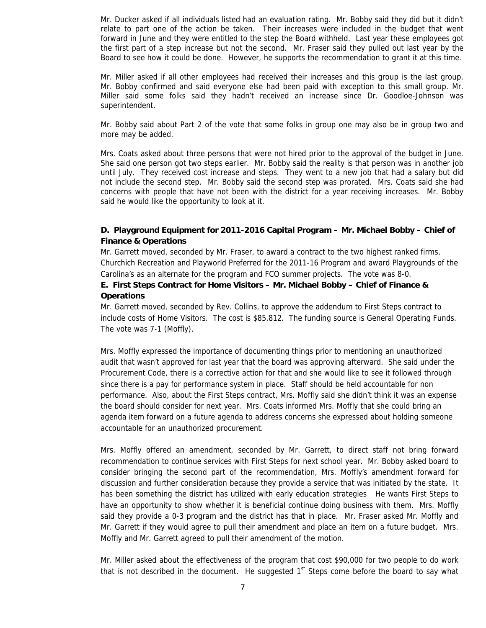Mr. Ducker asked if all individuals listed had an evaluation rating. Mr. Bobby said they did but it didn't relate to part one of the action be taken. Their increases were included in the budget that went forward in June and they were entitled to the step the Board withheld. Last year these employees got the first part of a step increase but not the second. Mr. Fraser said they pulled out last year by the Board to see how it could be done. However, he supports the recommendation to grant it at this time.

Mr. Miller asked if all other employees had received their increases and this group is the last group. Mr. Bobby confirmed and said everyone else had been paid with exception to this small group. Mr. Miller said some folks said they hadn't received an increase since Dr. Goodloe-Johnson was superintendent.

Mr. Bobby said about Part 2 of the vote that some folks in group one may also be in group two and more may be added.

Mrs. Coats asked about three persons that were not hired prior to the approval of the budget in June. She said one person got two steps earlier. Mr. Bobby said the reality is that person was in another job until July. They received cost increase and steps. They went to a new job that had a salary but did not include the second step. Mr. Bobby said the second step was prorated. Mrs. Coats said she had concerns with people that have not been with the district for a year receiving increases. Mr. Bobby said he would like the opportunity to look at it.

## **D. Playground Equipment for 2011-2016 Capital Program – Mr. Michael Bobby – Chief of Finance & Operations**

Mr. Garrett moved, seconded by Mr. Fraser, to award a contract to the two highest ranked firms, Churchich Recreation and Playworld Preferred for the 2011-16 Program and award Playgrounds of the Carolina's as an alternate for the program and FCO summer projects. The vote was 8-0.

## **E. First Steps Contract for Home Visitors – Mr. Michael Bobby – Chief of Finance & Operations**

Mr. Garrett moved, seconded by Rev. Collins, to approve the addendum to First Steps contract to include costs of Home Visitors. The cost is \$85,812. The funding source is General Operating Funds. The vote was 7-1 (Moffly).

Mrs. Moffly expressed the importance of documenting things prior to mentioning an unauthorized audit that wasn't approved for last year that the board was approving afterward. She said under the Procurement Code, there is a corrective action for that and she would like to see it followed through since there is a pay for performance system in place. Staff should be held accountable for non performance. Also, about the First Steps contract, Mrs. Moffly said she didn't think it was an expense the board should consider for next year. Mrs. Coats informed Mrs. Moffly that she could bring an agenda item forward on a future agenda to address concerns she expressed about holding someone accountable for an unauthorized procurement.

Mrs. Moffly offered an amendment, seconded by Mr. Garrett, to direct staff not bring forward recommendation to continue services with First Steps for next school year. Mr. Bobby asked board to consider bringing the second part of the recommendation, Mrs. Moffly's amendment forward for discussion and further consideration because they provide a service that was initiated by the state. It has been something the district has utilized with early education strategies He wants First Steps to have an opportunity to show whether it is beneficial continue doing business with them. Mrs. Moffly said they provide a 0-3 program and the district has that in place. Mr. Fraser asked Mr. Moffly and Mr. Garrett if they would agree to pull their amendment and place an item on a future budget. Mrs. Moffly and Mr. Garrett agreed to pull their amendment of the motion.

Mr. Miller asked about the effectiveness of the program that cost \$90,000 for two people to do work that is not described in the document. He suggested  $1<sup>st</sup>$  Steps come before the board to say what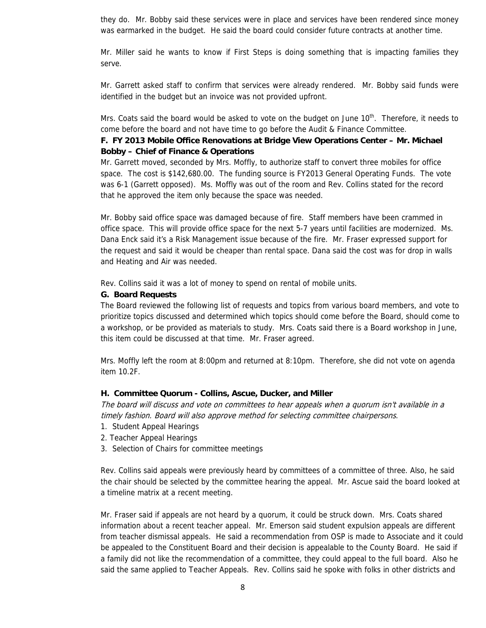they do. Mr. Bobby said these services were in place and services have been rendered since money was earmarked in the budget. He said the board could consider future contracts at another time.

Mr. Miller said he wants to know if First Steps is doing something that is impacting families they serve.

Mr. Garrett asked staff to confirm that services were already rendered. Mr. Bobby said funds were identified in the budget but an invoice was not provided upfront.

Mrs. Coats said the board would be asked to vote on the budget on June 10<sup>th</sup>. Therefore, it needs to come before the board and not have time to go before the Audit & Finance Committee.

#### **F. FY 2013 Mobile Office Renovations at Bridge View Operations Center – Mr. Michael Bobby – Chief of Finance & Operations**

Mr. Garrett moved, seconded by Mrs. Moffly, to authorize staff to convert three mobiles for office space. The cost is \$142,680.00. The funding source is FY2013 General Operating Funds. The vote was 6-1 (Garrett opposed). Ms. Moffly was out of the room and Rev. Collins stated for the record that he approved the item only because the space was needed.

Mr. Bobby said office space was damaged because of fire. Staff members have been crammed in office space. This will provide office space for the next 5-7 years until facilities are modernized. Ms. Dana Enck said it's a Risk Management issue because of the fire. Mr. Fraser expressed support for the request and said it would be cheaper than rental space. Dana said the cost was for drop in walls and Heating and Air was needed.

Rev. Collins said it was a lot of money to spend on rental of mobile units.

#### **G. Board Requests**

The Board reviewed the following list of requests and topics from various board members, and vote to prioritize topics discussed and determined which topics should come before the Board, should come to a workshop, or be provided as materials to study. Mrs. Coats said there is a Board workshop in June, this item could be discussed at that time. Mr. Fraser agreed.

Mrs. Moffly left the room at 8:00pm and returned at 8:10pm. Therefore, she did not vote on agenda item 10.2F.

#### **H. Committee Quorum - Collins, Ascue, Ducker, and Miller**

The board will discuss and vote on committees to hear appeals when a quorum isn't available in a timely fashion. Board will also approve method for selecting committee chairpersons.

- 1. Student Appeal Hearings
- 2. Teacher Appeal Hearings
- 3. Selection of Chairs for committee meetings

Rev. Collins said appeals were previously heard by committees of a committee of three. Also, he said the chair should be selected by the committee hearing the appeal. Mr. Ascue said the board looked at a timeline matrix at a recent meeting.

Mr. Fraser said if appeals are not heard by a quorum, it could be struck down. Mrs. Coats shared information about a recent teacher appeal. Mr. Emerson said student expulsion appeals are different from teacher dismissal appeals. He said a recommendation from OSP is made to Associate and it could be appealed to the Constituent Board and their decision is appealable to the County Board. He said if a family did not like the recommendation of a committee, they could appeal to the full board. Also he said the same applied to Teacher Appeals. Rev. Collins said he spoke with folks in other districts and